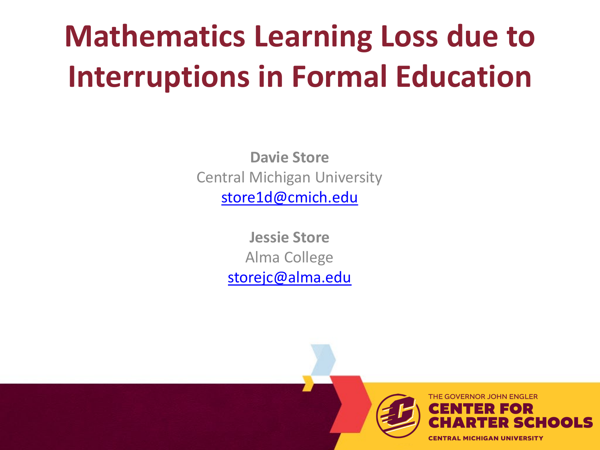## **Mathematics Learning Loss due to Interruptions in Formal Education**

**Davie Store** Central Michigan University [store1d@cmich.edu](mailto:store1d@cmich.edu)

> **Jessie Store** Alma College [storejc@alma.edu](mailto:storejc@alma.edu)

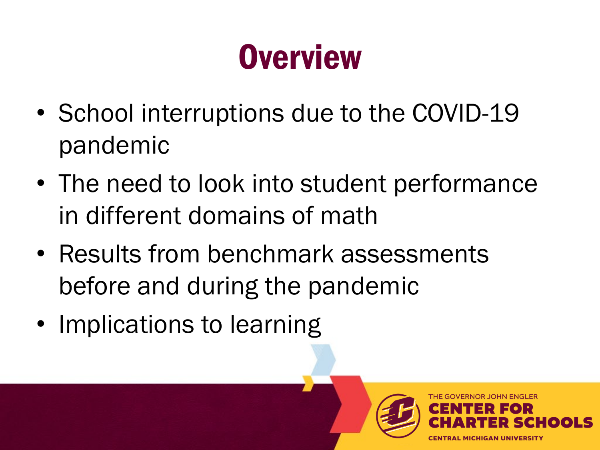# **Overview**

- School interruptions due to the COVID-19 pandemic
- The need to look into student performance in different domains of math
- Results from benchmark assessments before and during the pandemic
- Implications to learning

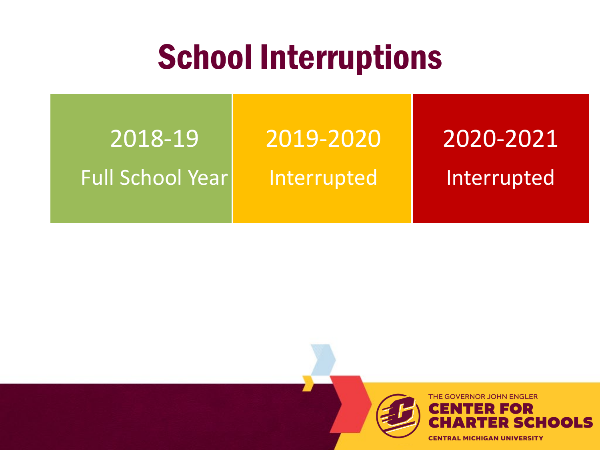#### School Interruptions

2018-19 Full School Year 2019-2020 Interrupted

#### 2020-2021 Interrupted

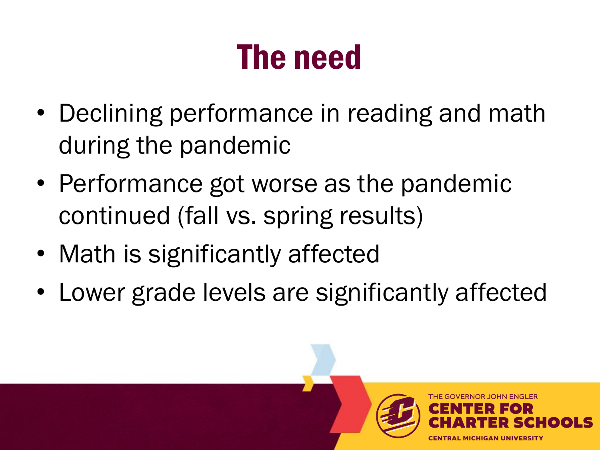## The need

- Declining performance in reading and math during the pandemic
- Performance got worse as the pandemic continued (fall vs. spring results)
- Math is significantly affected
- Lower grade levels are significantly affected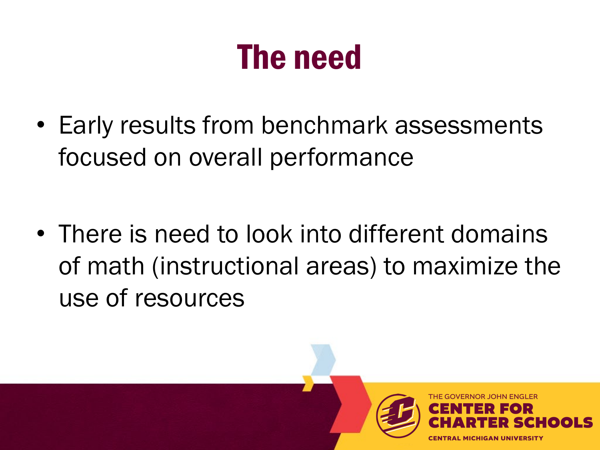#### The need

• Early results from benchmark assessments focused on overall performance

• There is need to look into different domains of math (instructional areas) to maximize the use of resources

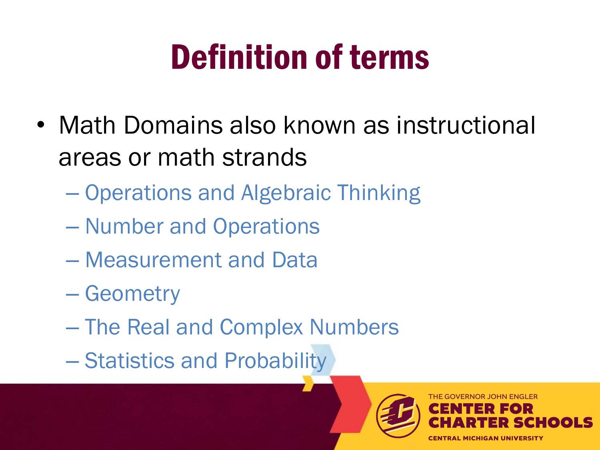# Definition of terms

- Math Domains also known as instructional areas or math strands
	- Operations and Algebraic Thinking
	- Number and Operations
	- Measurement and Data
	- Geometry
	- The Real and Complex Numbers
	- Statistics and Probability

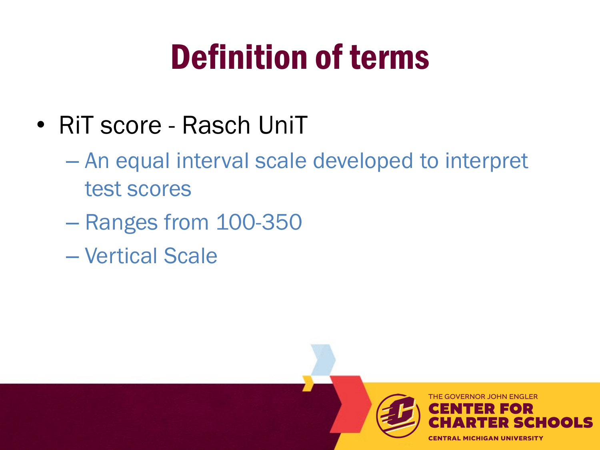## Definition of terms

- RiT score Rasch UniT
	- An equal interval scale developed to interpret test scores
	- Ranges from 100-350
	- Vertical Scale

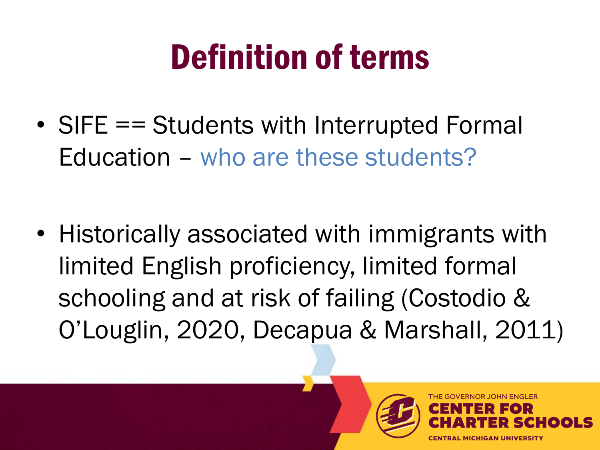# Definition of terms

• SIFE == Students with Interrupted Formal Education – who are these students?

• Historically associated with immigrants with limited English proficiency, limited formal schooling and at risk of failing (Costodio & O'Louglin, 2020, Decapua & Marshall, 2011)

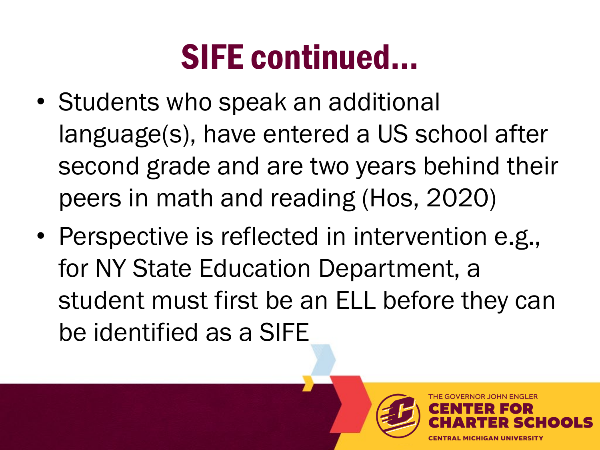#### SIFE continued…

- Students who speak an additional language(s), have entered a US school after second grade and are two years behind their peers in math and reading (Hos, 2020)
- Perspective is reflected in intervention e.g., for NY State Education Department, a student must first be an ELL before they can be identified as a SIFE

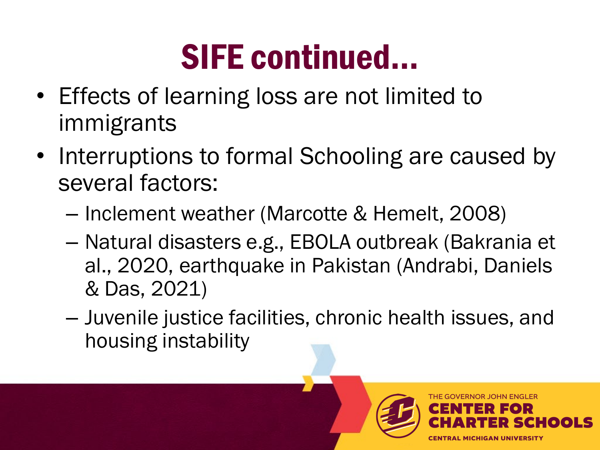## SIFE continued…

- Effects of learning loss are not limited to immigrants
- Interruptions to formal Schooling are caused by several factors:
	- Inclement weather (Marcotte & Hemelt, 2008)
	- Natural disasters e.g., EBOLA outbreak (Bakrania et al., 2020, earthquake in Pakistan (Andrabi, Daniels & Das, 2021)
	- Juvenile justice facilities, chronic health issues, and housing instability

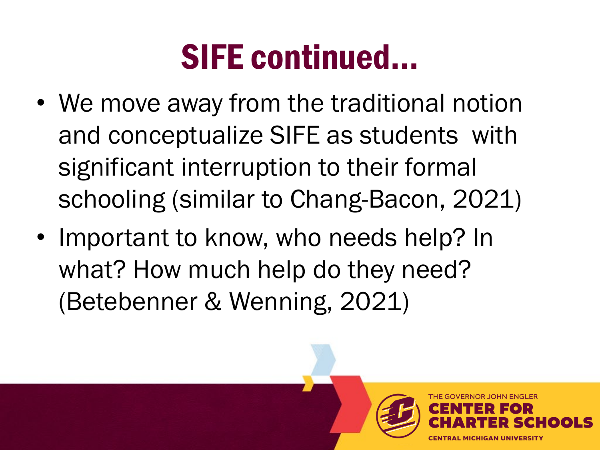#### SIFE continued…

- We move away from the traditional notion and conceptualize SIFE as students with significant interruption to their formal schooling (similar to Chang-Bacon, 2021)
- Important to know, who needs help? In what? How much help do they need? (Betebenner & Wenning, 2021)

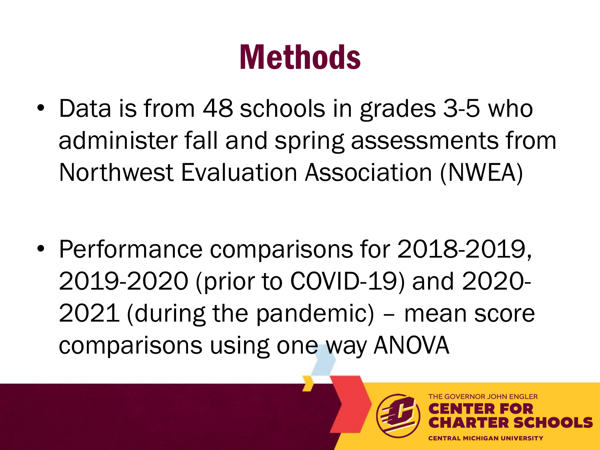## **Methods**

• Data is from 48 schools in grades 3-5 who administer fall and spring assessments from Northwest Evaluation Association (NWEA)

• Performance comparisons for 2018-2019, 2019-2020 (prior to COVID-19) and 2020- 2021 (during the pandemic) – mean score comparisons using one way ANOVA

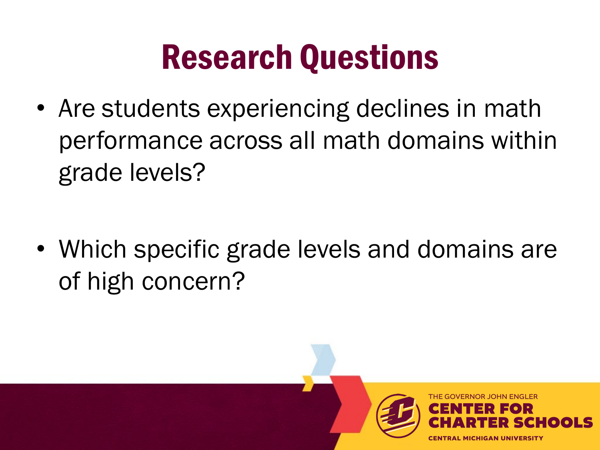## Research Questions

• Are students experiencing declines in math performance across all math domains within grade levels?

• Which specific grade levels and domains are of high concern?

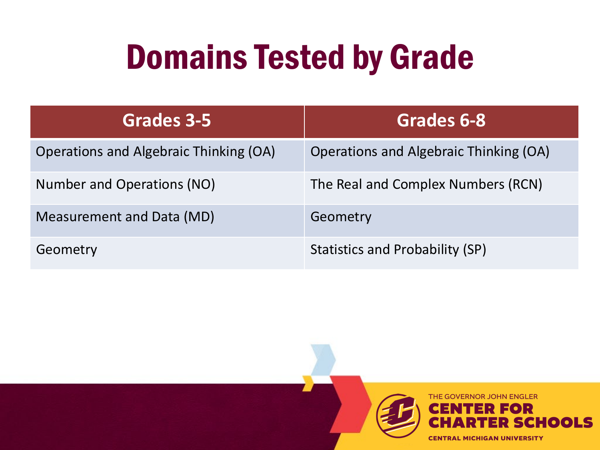## Domains Tested by Grade

| Grades 3-5                             | Grades 6-8                             |
|----------------------------------------|----------------------------------------|
| Operations and Algebraic Thinking (OA) | Operations and Algebraic Thinking (OA) |
| Number and Operations (NO)             | The Real and Complex Numbers (RCN)     |
| Measurement and Data (MD)              | Geometry                               |
| Geometry                               | <b>Statistics and Probability (SP)</b> |

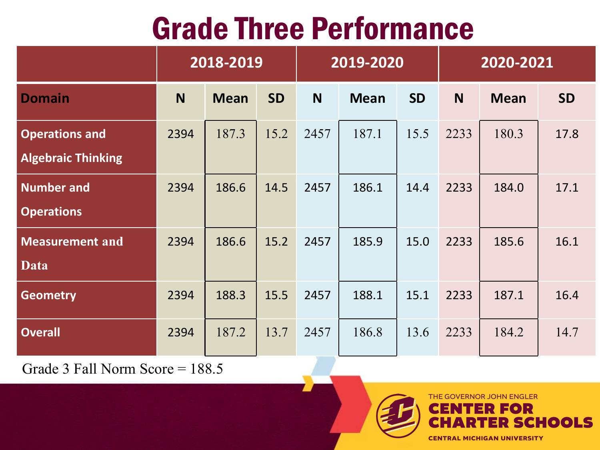#### Grade Three Performance

|                                                    | 2018-2019 |             | 2019-2020 |      |             | 2020-2021 |      |             |           |
|----------------------------------------------------|-----------|-------------|-----------|------|-------------|-----------|------|-------------|-----------|
| <b>Domain</b>                                      | N         | <b>Mean</b> | <b>SD</b> | N    | <b>Mean</b> | <b>SD</b> | N    | <b>Mean</b> | <b>SD</b> |
| <b>Operations and</b><br><b>Algebraic Thinking</b> | 2394      | 187.3       | 15.2      | 2457 | 187.1       | 15.5      | 2233 | 180.3       | 17.8      |
| <b>Number and</b><br><b>Operations</b>             | 2394      | 186.6       | 14.5      | 2457 | 186.1       | 14.4      | 2233 | 184.0       | 17.1      |
| <b>Measurement and</b><br><b>Data</b>              | 2394      | 186.6       | 15.2      | 2457 | 185.9       | 15.0      | 2233 | 185.6       | 16.1      |
| <b>Geometry</b>                                    | 2394      | 188.3       | 15.5      | 2457 | 188.1       | 15.1      | 2233 | 187.1       | 16.4      |
| <b>Overall</b>                                     | 2394      | 187.2       | 13.7      | 2457 | 186.8       | 13.6      | 2233 | 184.2       | 14.7      |

Grade 3 Fall Norm Score = 188.5

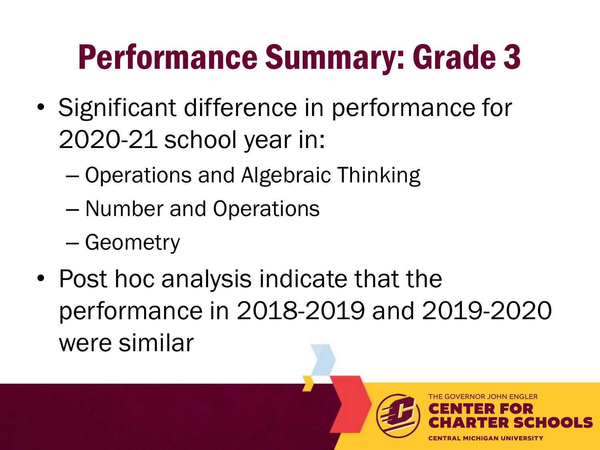# Performance Summary: Grade 3

- Significant difference in performance for 2020-21 school year in:
	- Operations and Algebraic Thinking
	- Number and Operations
	- Geometry
- Post hoc analysis indicate that the performance in 2018-2019 and 2019-2020 were similar

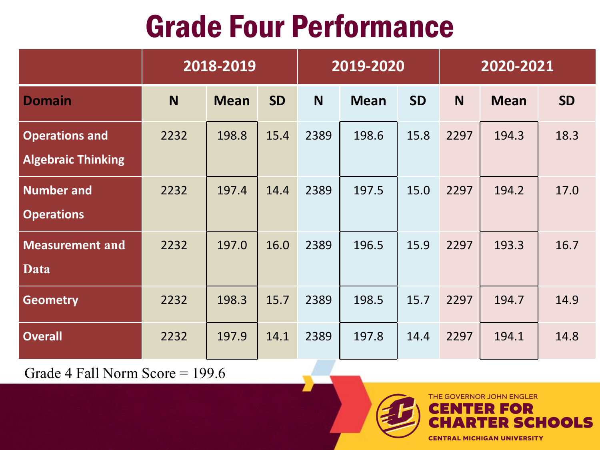#### Grade Four Performance

|                                                    | 2018-2019 |             | 2019-2020 |          |             | 2020-2021 |      |             |           |
|----------------------------------------------------|-----------|-------------|-----------|----------|-------------|-----------|------|-------------|-----------|
| <b>Domain</b>                                      | N         | <b>Mean</b> | <b>SD</b> | <b>N</b> | <b>Mean</b> | <b>SD</b> | N    | <b>Mean</b> | <b>SD</b> |
| <b>Operations and</b><br><b>Algebraic Thinking</b> | 2232      | 198.8       | 15.4      | 2389     | 198.6       | 15.8      | 2297 | 194.3       | 18.3      |
| <b>Number and</b><br><b>Operations</b>             | 2232      | 197.4       | 14.4      | 2389     | 197.5       | 15.0      | 2297 | 194.2       | 17.0      |
| <b>Measurement and</b><br><b>Data</b>              | 2232      | 197.0       | 16.0      | 2389     | 196.5       | 15.9      | 2297 | 193.3       | 16.7      |
| <b>Geometry</b>                                    | 2232      | 198.3       | 15.7      | 2389     | 198.5       | 15.7      | 2297 | 194.7       | 14.9      |
| <b>Overall</b>                                     | 2232      | 197.9       | 14.1      | 2389     | 197.8       | 14.4      | 2297 | 194.1       | 14.8      |

Grade 4 Fall Norm Score = 199.6



**CHOOLS**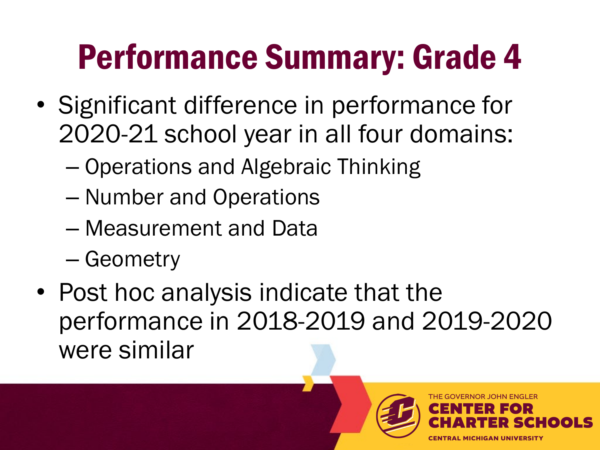# Performance Summary: Grade 4

- Significant difference in performance for 2020-21 school year in all four domains:
	- Operations and Algebraic Thinking
	- Number and Operations
	- Measurement and Data
	- Geometry
- Post hoc analysis indicate that the performance in 2018-2019 and 2019-2020 were similar

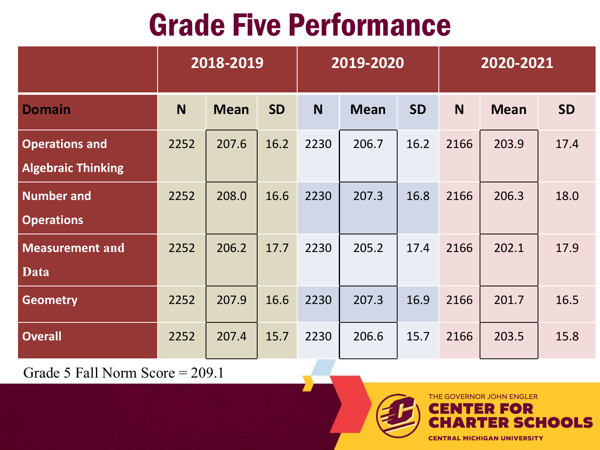#### Grade Five Performance

|                                                    | 2018-2019 |             | 2019-2020 |          |             | 2020-2021 |      |             |           |
|----------------------------------------------------|-----------|-------------|-----------|----------|-------------|-----------|------|-------------|-----------|
| <b>Domain</b>                                      | N         | <b>Mean</b> | <b>SD</b> | <b>N</b> | <b>Mean</b> | <b>SD</b> | N    | <b>Mean</b> | <b>SD</b> |
| <b>Operations and</b><br><b>Algebraic Thinking</b> | 2252      | 207.6       | 16.2      | 2230     | 206.7       | 16.2      | 2166 | 203.9       | 17.4      |
| <b>Number and</b><br><b>Operations</b>             | 2252      | 208.0       | 16.6      | 2230     | 207.3       | 16.8      | 2166 | 206.3       | 18.0      |
| <b>Measurement and</b><br><b>Data</b>              | 2252      | 206.2       | 17.7      | 2230     | 205.2       | 17.4      | 2166 | 202.1       | 17.9      |
| <b>Geometry</b>                                    | 2252      | 207.9       | 16.6      | 2230     | 207.3       | 16.9      | 2166 | 201.7       | 16.5      |
| <b>Overall</b>                                     | 2252      | 207.4       | 15.7      | 2230     | 206.6       | 15.7      | 2166 | 203.5       | 15.8      |

Grade 5 Fall Norm Score = 209.1



**CENTRAL MICHIGAN UNIVERSITY** 

**IN ENGLER** OR

**CHOOLS**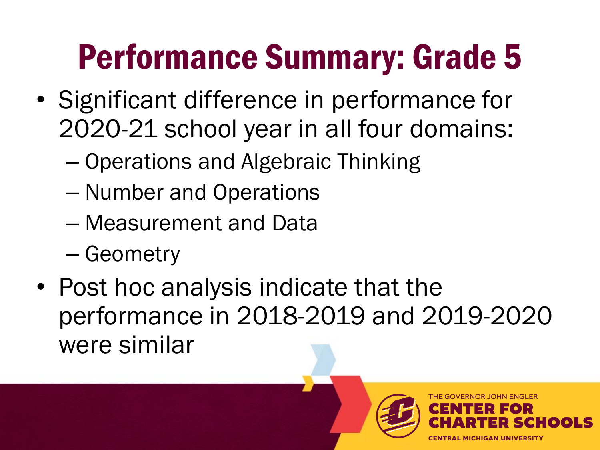# Performance Summary: Grade 5

- Significant difference in performance for 2020-21 school year in all four domains:
	- Operations and Algebraic Thinking
	- Number and Operations
	- Measurement and Data
	- Geometry
- Post hoc analysis indicate that the performance in 2018-2019 and 2019-2020 were similar

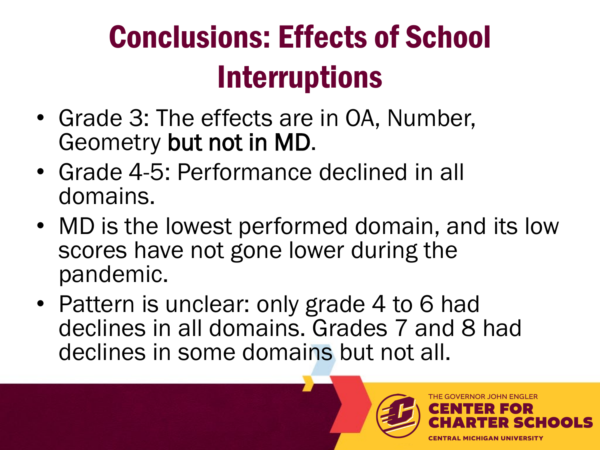## Conclusions: Effects of School **Interruptions**

- Grade 3: The effects are in OA, Number, Geometry but not in MD.
- Grade 4-5: Performance declined in all domains.
- MD is the lowest performed domain, and its low scores have not gone lower during the pandemic.
- Pattern is unclear: only grade 4 to 6 had declines in all domains. Grades 7 and 8 had declines in some domains but not all.

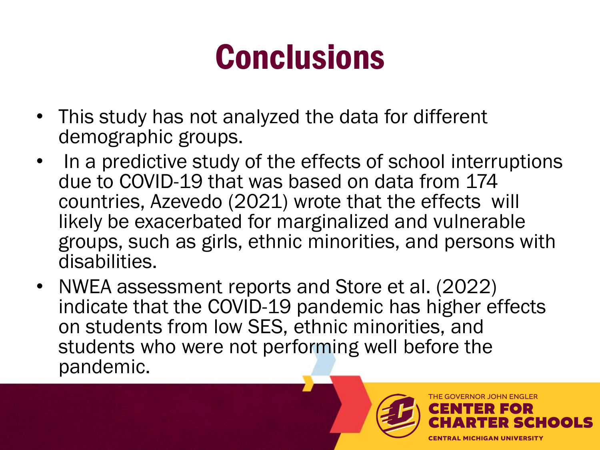# **Conclusions**

- This study has not analyzed the data for different demographic groups.
- In a predictive study of the effects of school interruptions due to COVID-19 that was based on data from 174 countries, Azevedo (2021) wrote that the effects will likely be exacerbated for marginalized and vulnerable groups, such as girls, ethnic minorities, and persons with disabilities.
- NWEA assessment reports and Store et al. (2022) indicate that the COVID-19 pandemic has higher effects on students from low SES, ethnic minorities, and students who were not performing well before the pandemic.

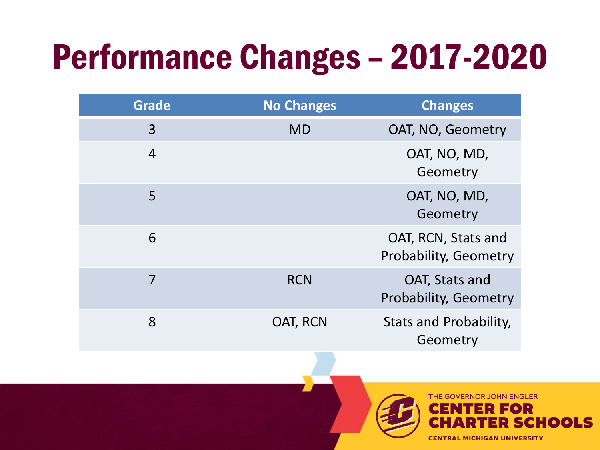# Performance Changes – 2017-2020

| <b>Grade</b> | <b>No Changes</b> | <b>Changes</b>                                 |
|--------------|-------------------|------------------------------------------------|
| 3            | <b>MD</b>         | OAT, NO, Geometry                              |
| 4            |                   | OAT, NO, MD,<br>Geometry                       |
| 5            |                   | OAT, NO, MD,<br>Geometry                       |
| 6            |                   | OAT, RCN, Stats and<br>Probability, Geometry   |
| 7            | <b>RCN</b>        | OAT, Stats and<br><b>Probability, Geometry</b> |
| 8            | OAT, RCN          | Stats and Probability,<br>Geometry             |

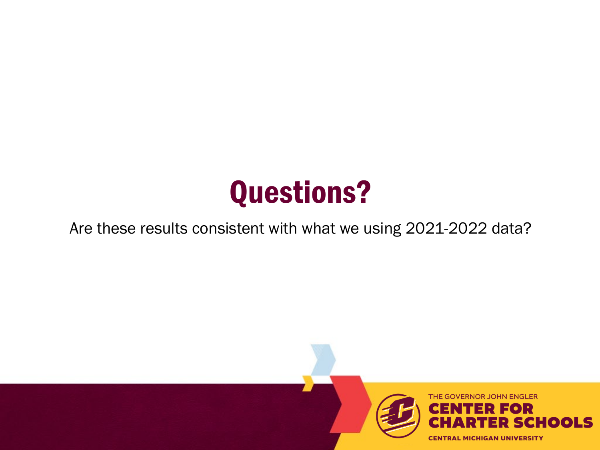#### Questions?

#### Are these results consistent with what we using 2021-2022 data?